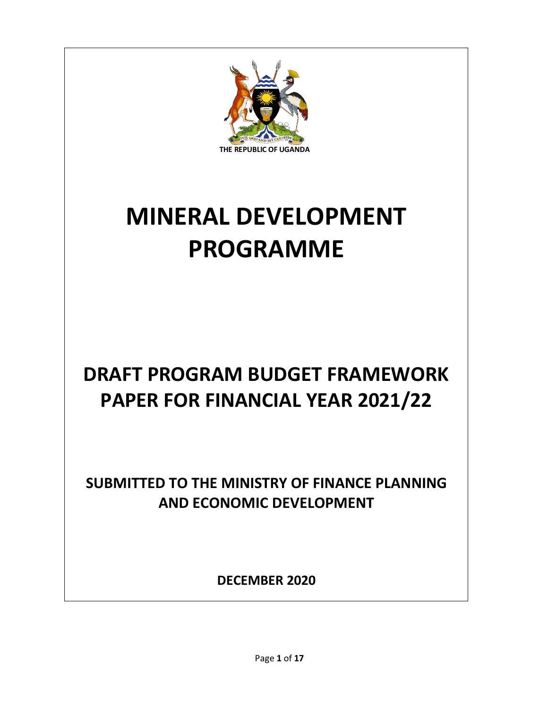

# **MINERAL DEVELOPMENT PROGRAMME**

## **DRAFT PROGRAM BUDGET FRAMEWORK PAPER FOR FINANCIAL YEAR 2021/22**

**SUBMITTED TO THE MINISTRY OF FINANCE PLANNING AND ECONOMIC DEVELOPMENT**

**DECEMBER 2020**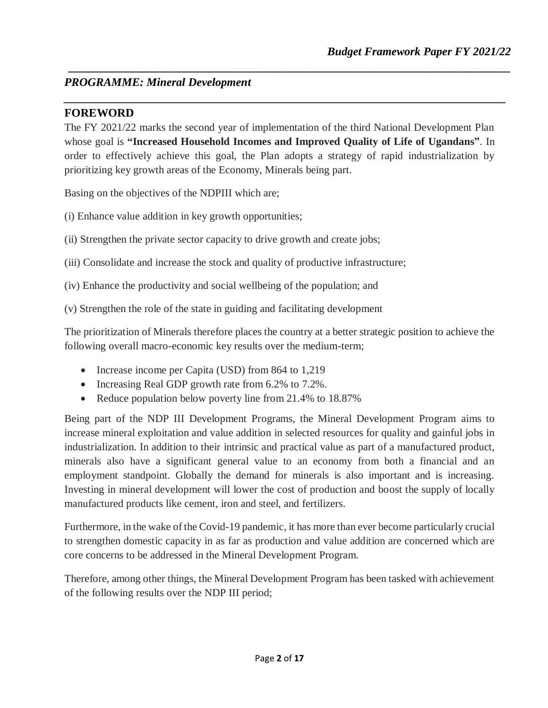#### *PROGRAMME: Mineral Development*

#### **FOREWORD**

The FY 2021/22 marks the second year of implementation of the third National Development Plan whose goal is **"Increased Household Incomes and Improved Quality of Life of Ugandans"**. In order to effectively achieve this goal, the Plan adopts a strategy of rapid industrialization by prioritizing key growth areas of the Economy, Minerals being part.

*\_\_\_\_\_\_\_\_\_\_\_\_\_\_\_\_\_\_\_\_\_\_\_\_\_\_\_\_\_\_\_\_\_\_\_\_\_\_\_\_\_\_\_\_\_\_\_\_\_\_\_\_\_\_\_\_\_\_\_\_\_\_\_\_\_\_\_\_\_\_\_\_\_\_\_\_*

*\_\_\_\_\_\_\_\_\_\_\_\_\_\_\_\_\_\_\_\_\_\_\_\_\_\_\_\_\_\_\_\_\_\_\_\_\_\_\_\_\_\_\_\_\_\_\_\_\_\_\_\_\_\_\_\_\_\_\_\_\_\_\_\_\_\_\_\_\_\_\_\_\_\_\_\_*

Basing on the objectives of the NDPIII which are;

(i) Enhance value addition in key growth opportunities;

(ii) Strengthen the private sector capacity to drive growth and create jobs;

(iii) Consolidate and increase the stock and quality of productive infrastructure;

(iv) Enhance the productivity and social wellbeing of the population; and

(v) Strengthen the role of the state in guiding and facilitating development

The prioritization of Minerals therefore places the country at a better strategic position to achieve the following overall macro-economic key results over the medium-term;

- Increase income per Capita (USD) from 864 to 1,219
- Increasing Real GDP growth rate from 6.2% to 7.2%.
- Reduce population below poverty line from 21.4% to 18.87%

Being part of the NDP III Development Programs, the Mineral Development Program aims to increase mineral exploitation and value addition in selected resources for quality and gainful jobs in industrialization. In addition to their intrinsic and practical value as part of a manufactured product, minerals also have a significant general value to an economy from both a financial and an employment standpoint. Globally the demand for minerals is also important and is increasing. Investing in mineral development will lower the cost of production and boost the supply of locally manufactured products like cement, iron and steel, and fertilizers.

Furthermore, in the wake of the Covid-19 pandemic, it has more than ever become particularly crucial to strengthen domestic capacity in as far as production and value addition are concerned which are core concerns to be addressed in the Mineral Development Program.

Therefore, among other things, the Mineral Development Program has been tasked with achievement of the following results over the NDP III period;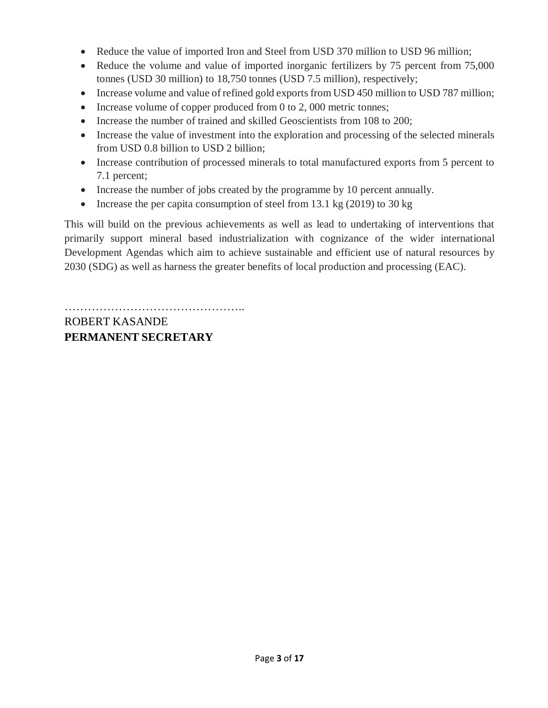- Reduce the value of imported Iron and Steel from USD 370 million to USD 96 million;
- Reduce the volume and value of imported inorganic fertilizers by 75 percent from 75,000 tonnes (USD 30 million) to 18,750 tonnes (USD 7.5 million), respectively;
- Increase volume and value of refined gold exports from USD 450 million to USD 787 million;
- Increase volume of copper produced from  $0$  to  $2$ ,  $000$  metric tonnes;
- Increase the number of trained and skilled Geoscientists from 108 to 200;
- Increase the value of investment into the exploration and processing of the selected minerals from USD 0.8 billion to USD 2 billion;
- Increase contribution of processed minerals to total manufactured exports from 5 percent to 7.1 percent;
- Increase the number of jobs created by the programme by 10 percent annually.
- Increase the per capita consumption of steel from 13.1 kg  $(2019)$  to 30 kg

This will build on the previous achievements as well as lead to undertaking of interventions that primarily support mineral based industrialization with cognizance of the wider international Development Agendas which aim to achieve sustainable and efficient use of natural resources by 2030 (SDG) as well as harness the greater benefits of local production and processing (EAC).

……………………………………….. ROBERT KASANDE **PERMANENT SECRETARY**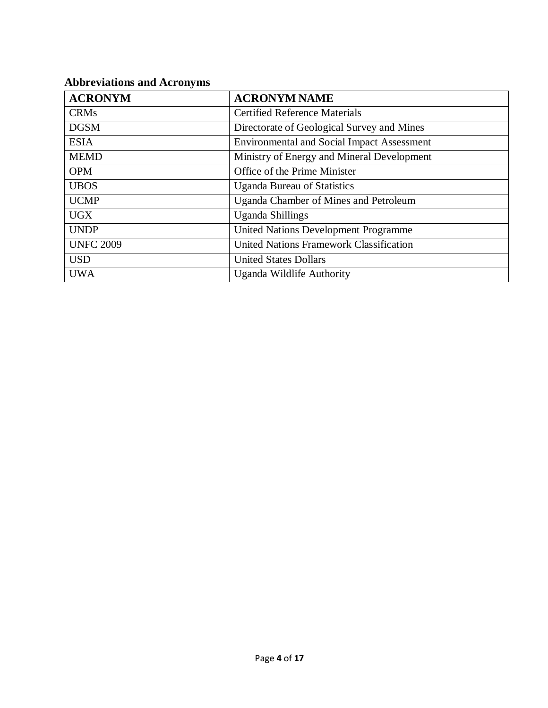### **Abbreviations and Acronyms**

| <b>ACRONYM</b>   | <b>ACRONYM NAME</b>                               |
|------------------|---------------------------------------------------|
| <b>CRMs</b>      | <b>Certified Reference Materials</b>              |
| <b>DGSM</b>      | Directorate of Geological Survey and Mines        |
| <b>ESIA</b>      | <b>Environmental and Social Impact Assessment</b> |
| <b>MEMD</b>      | Ministry of Energy and Mineral Development        |
| <b>OPM</b>       | Office of the Prime Minister                      |
| <b>UBOS</b>      | <b>Uganda Bureau of Statistics</b>                |
| <b>UCMP</b>      | <b>Uganda Chamber of Mines and Petroleum</b>      |
| <b>UGX</b>       | <b>Uganda Shillings</b>                           |
| <b>UNDP</b>      | <b>United Nations Development Programme</b>       |
| <b>UNFC 2009</b> | <b>United Nations Framework Classification</b>    |
| <b>USD</b>       | <b>United States Dollars</b>                      |
| <b>UWA</b>       | Uganda Wildlife Authority                         |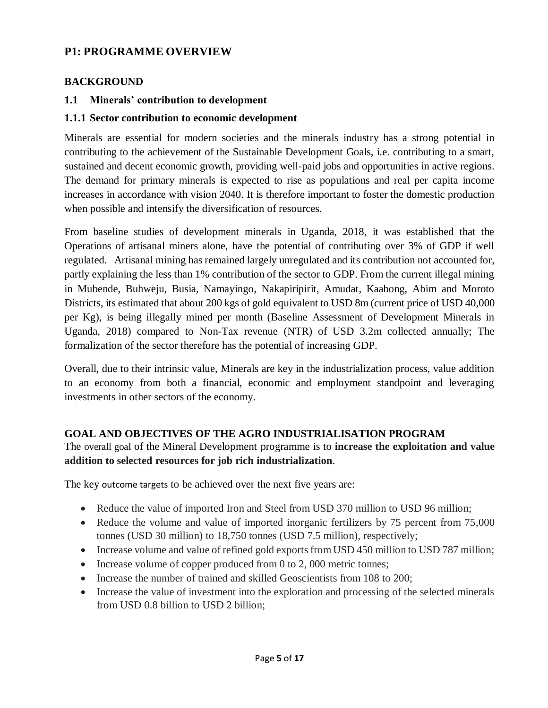#### **P1: PROGRAMME OVERVIEW**

#### **BACKGROUND**

#### **1.1 Minerals' contribution to development**

#### **1.1.1 Sector contribution to economic development**

Minerals are essential for modern societies and the minerals industry has a strong potential in contributing to the achievement of the Sustainable Development Goals, i.e. contributing to a smart, sustained and decent economic growth, providing well-paid jobs and opportunities in active regions. The demand for primary minerals is expected to rise as populations and real per capita income increases in accordance with vision 2040. It is therefore important to foster the domestic production when possible and intensify the diversification of resources.

From baseline studies of development minerals in Uganda, 2018, it was established that the Operations of artisanal miners alone, have the potential of contributing over 3% of GDP if well regulated. Artisanal mining has remained largely unregulated and its contribution not accounted for, partly explaining the less than 1% contribution of the sector to GDP. From the current illegal mining in Mubende, Buhweju, Busia, Namayingo, Nakapiripirit, Amudat, Kaabong, Abim and Moroto Districts, its estimated that about 200 kgs of gold equivalent to USD 8m (current price of USD 40,000 per Kg), is being illegally mined per month (Baseline Assessment of Development Minerals in Uganda, 2018) compared to Non-Tax revenue (NTR) of USD 3.2m collected annually; The formalization of the sector therefore has the potential of increasing GDP.

Overall, due to their intrinsic value, Minerals are key in the industrialization process, value addition to an economy from both a financial, economic and employment standpoint and leveraging investments in other sectors of the economy.

#### **GOAL AND OBJECTIVES OF THE AGRO INDUSTRIALISATION PROGRAM**

The overall goal of the Mineral Development programme is to **increase the exploitation and value addition to selected resources for job rich industrialization**.

The key outcome targets to be achieved over the next five years are:

- Reduce the value of imported Iron and Steel from USD 370 million to USD 96 million;
- Reduce the volume and value of imported inorganic fertilizers by 75 percent from 75,000 tonnes (USD 30 million) to 18,750 tonnes (USD 7.5 million), respectively;
- Increase volume and value of refined gold exports from USD 450 million to USD 787 million;
- Increase volume of copper produced from 0 to 2,000 metric tonnes;
- Increase the number of trained and skilled Geoscientists from 108 to 200;
- Increase the value of investment into the exploration and processing of the selected minerals from USD 0.8 billion to USD 2 billion;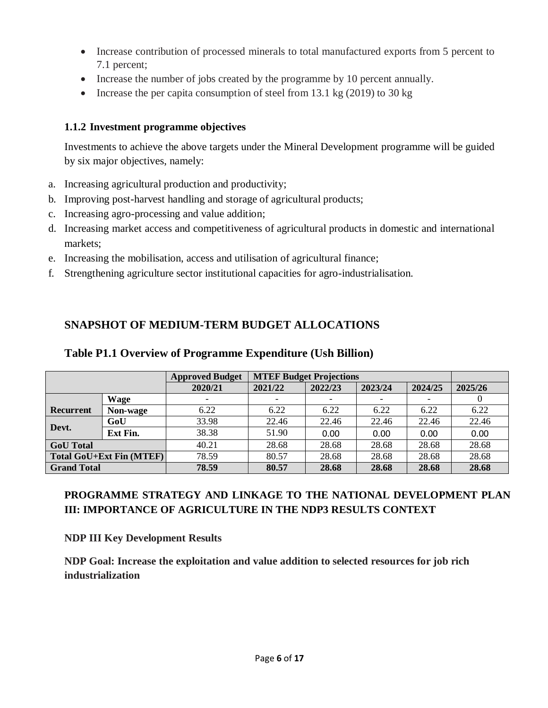- Increase contribution of processed minerals to total manufactured exports from 5 percent to 7.1 percent;
- Increase the number of jobs created by the programme by 10 percent annually.
- Increase the per capita consumption of steel from 13.1 kg  $(2019)$  to 30 kg

#### **1.1.2 Investment programme objectives**

Investments to achieve the above targets under the Mineral Development programme will be guided by six major objectives, namely:

- a. Increasing agricultural production and productivity;
- b. Improving post-harvest handling and storage of agricultural products;
- c. Increasing agro-processing and value addition;
- d. Increasing market access and competitiveness of agricultural products in domestic and international markets;
- e. Increasing the mobilisation, access and utilisation of agricultural finance;
- f. Strengthening agriculture sector institutional capacities for agro-industrialisation.

#### **SNAPSHOT OF MEDIUM-TERM BUDGET ALLOCATIONS**

#### **Table P1.1 Overview of Programme Expenditure (Ush Billion)**

|                    |                                 | <b>Approved Budget</b> |         | <b>MTEF Budget Projections</b> |         |         |         |  |
|--------------------|---------------------------------|------------------------|---------|--------------------------------|---------|---------|---------|--|
|                    |                                 | 2020/21                | 2021/22 | 2022/23                        | 2023/24 | 2024/25 | 2025/26 |  |
|                    | <b>Wage</b>                     |                        |         |                                |         |         |         |  |
| Recurrent          | Non-wage                        | 6.22                   | 6.22    | 6.22                           | 6.22    | 6.22    | 6.22    |  |
|                    | GoU                             | 33.98                  | 22.46   | 22.46                          | 22.46   | 22.46   | 22.46   |  |
| Devt.              | <b>Ext Fin.</b>                 | 38.38                  | 51.90   | 0.00                           | 0.00    | 0.00    | 0.00    |  |
| <b>GoU</b> Total   |                                 | 40.21                  | 28.68   | 28.68                          | 28.68   | 28.68   | 28.68   |  |
|                    | <b>Total GoU+Ext Fin (MTEF)</b> | 78.59                  | 80.57   | 28.68                          | 28.68   | 28.68   | 28.68   |  |
| <b>Grand Total</b> |                                 | 78.59                  | 80.57   | 28.68                          | 28.68   | 28.68   | 28.68   |  |

#### **PROGRAMME STRATEGY AND LINKAGE TO THE NATIONAL DEVELOPMENT PLAN III: IMPORTANCE OF AGRICULTURE IN THE NDP3 RESULTS CONTEXT**

**NDP III Key Development Results**

**NDP Goal: Increase the exploitation and value addition to selected resources for job rich industrialization**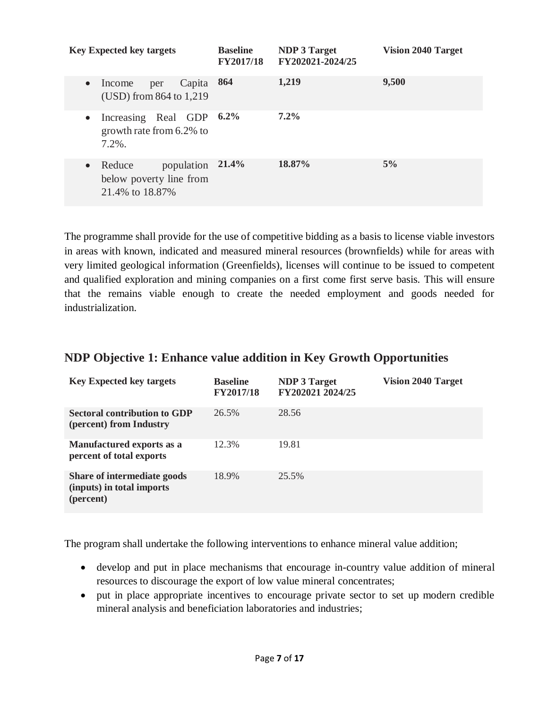| <b>Key Expected key targets</b>                                                 | <b>Baseline</b><br><b>FY2017/18</b> | <b>NDP 3 Target</b><br>FY202021-2024/25 | <b>Vision 2040 Target</b> |
|---------------------------------------------------------------------------------|-------------------------------------|-----------------------------------------|---------------------------|
| Capita<br>Income<br>per<br>$\bullet$<br>(USD) from 864 to 1,219                 | 864                                 | 1,219                                   | 9,500                     |
| Increasing Real GDP<br>$\bullet$<br>growth rate from 6.2% to<br>$7.2\%$ .       | $6.2\%$                             | $7.2\%$                                 |                           |
| population<br>Reduce<br>$\bullet$<br>below poverty line from<br>21.4% to 18.87% | 21.4%                               | 18.87%                                  | 5%                        |

The programme shall provide for the use of competitive bidding as a basis to license viable investors in areas with known, indicated and measured mineral resources (brownfields) while for areas with very limited geological information (Greenfields), licenses will continue to be issued to competent and qualified exploration and mining companies on a first come first serve basis. This will ensure that the remains viable enough to create the needed employment and goods needed for industrialization.

#### **NDP Objective 1: Enhance value addition in Key Growth Opportunities**

| <b>Key Expected key targets</b>                                       | <b>Baseline</b><br><b>FY2017/18</b> | <b>NDP 3 Target</b><br>FY202021 2024/25 | <b>Vision 2040 Target</b> |
|-----------------------------------------------------------------------|-------------------------------------|-----------------------------------------|---------------------------|
| <b>Sectoral contribution to GDP</b><br>(percent) from Industry        | 26.5%                               | 28.56                                   |                           |
| Manufactured exports as a<br>percent of total exports                 | 12.3%                               | 19.81                                   |                           |
| Share of intermediate goods<br>(inputs) in total imports<br>(percent) | 18.9%                               | 25.5%                                   |                           |

The program shall undertake the following interventions to enhance mineral value addition;

- develop and put in place mechanisms that encourage in-country value addition of mineral resources to discourage the export of low value mineral concentrates;
- put in place appropriate incentives to encourage private sector to set up modern credible mineral analysis and beneficiation laboratories and industries;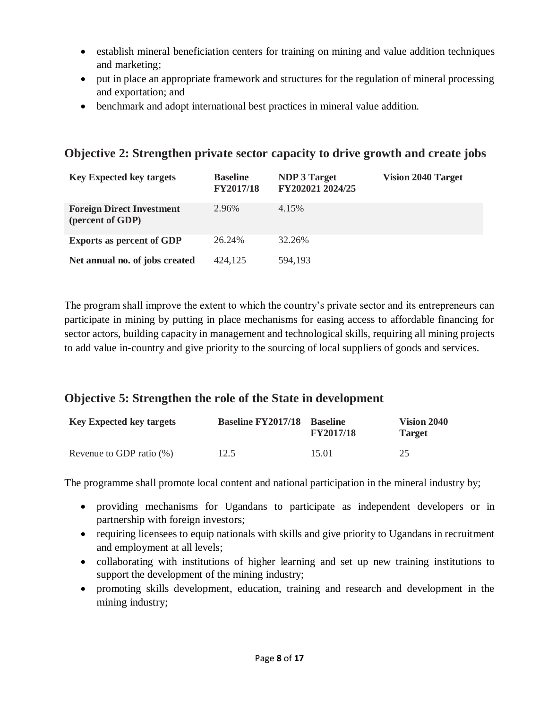- establish mineral beneficiation centers for training on mining and value addition techniques and marketing;
- put in place an appropriate framework and structures for the regulation of mineral processing and exportation; and
- benchmark and adopt international best practices in mineral value addition.

#### **Objective 2: Strengthen private sector capacity to drive growth and create jobs**

| <b>Key Expected key targets</b>                      | <b>Baseline</b><br><b>FY2017/18</b> | <b>NDP 3 Target</b><br>FY202021 2024/25 | <b>Vision 2040 Target</b> |
|------------------------------------------------------|-------------------------------------|-----------------------------------------|---------------------------|
| <b>Foreign Direct Investment</b><br>(percent of GDP) | 2.96%                               | 4.15%                                   |                           |
| <b>Exports as percent of GDP</b>                     | 26.24%                              | 32.26%                                  |                           |
| Net annual no. of jobs created                       | 424,125                             | 594,193                                 |                           |

The program shall improve the extent to which the country's private sector and its entrepreneurs can participate in mining by putting in place mechanisms for easing access to affordable financing for sector actors, building capacity in management and technological skills, requiring all mining projects to add value in-country and give priority to the sourcing of local suppliers of goods and services.

#### **Objective 5: Strengthen the role of the State in development**

| <b>Key Expected key targets</b> | <b>Baseline FY2017/18 Baseline</b> | <b>FY2017/18</b> | Vision 2040<br><b>Target</b> |
|---------------------------------|------------------------------------|------------------|------------------------------|
| Revenue to GDP ratio $(\%)$     | 12.5                               | 15.01            | 25                           |

The programme shall promote local content and national participation in the mineral industry by;

- providing mechanisms for Ugandans to participate as independent developers or in partnership with foreign investors;
- requiring licensees to equip nationals with skills and give priority to Ugandans in recruitment and employment at all levels;
- collaborating with institutions of higher learning and set up new training institutions to support the development of the mining industry;
- promoting skills development, education, training and research and development in the mining industry;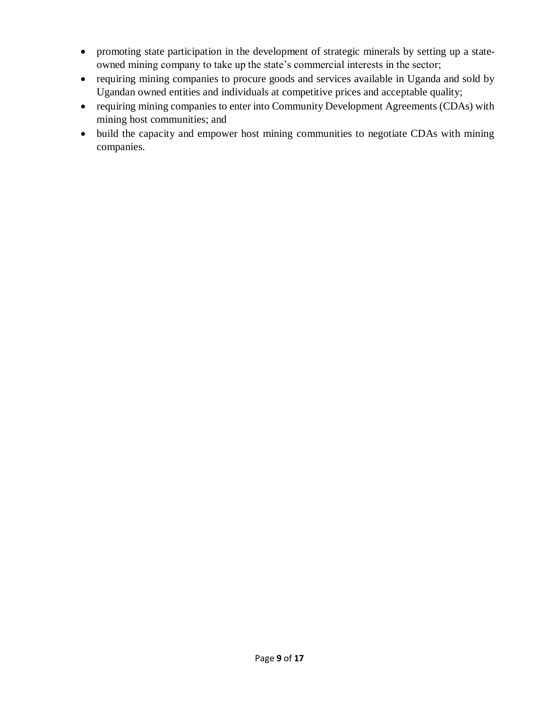- promoting state participation in the development of strategic minerals by setting up a stateowned mining company to take up the state's commercial interests in the sector;
- requiring mining companies to procure goods and services available in Uganda and sold by Ugandan owned entities and individuals at competitive prices and acceptable quality;
- requiring mining companies to enter into Community Development Agreements (CDAs) with mining host communities; and
- build the capacity and empower host mining communities to negotiate CDAs with mining companies.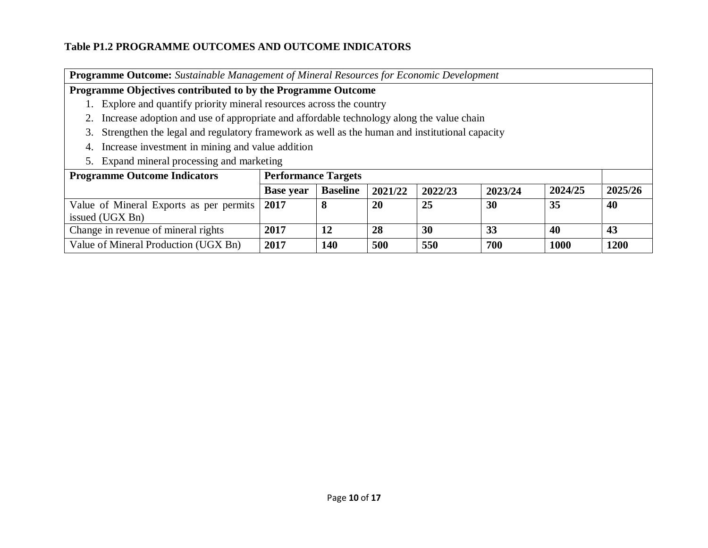#### **Table P1.2 PROGRAMME OUTCOMES AND OUTCOME INDICATORS**

**Programme Outcome:** *Sustainable Management of Mineral Resources for Economic Development*

#### **Programme Objectives contributed to by the Programme Outcome**

- 1. Explore and quantify priority mineral resources across the country
- 2. Increase adoption and use of appropriate and affordable technology along the value chain
- 3. Strengthen the legal and regulatory framework as well as the human and institutional capacity
- 4. Increase investment in mining and value addition
- 5. Expand mineral processing and marketing

| <b>Programme Outcome Indicators</b>                             |                  | <b>Performance Targets</b> |         |         |         |         |         |
|-----------------------------------------------------------------|------------------|----------------------------|---------|---------|---------|---------|---------|
|                                                                 | <b>Base year</b> | <b>Baseline</b>            | 2021/22 | 2022/23 | 2023/24 | 2024/25 | 2025/26 |
| Value of Mineral Exports as per permits 2017<br>issued (UGX Bn) |                  |                            | 20      | 25      | 30      | 35      | 40      |
| Change in revenue of mineral rights                             | 2017             |                            | 28      | 30      | 33      | 40      | 43      |
| Value of Mineral Production (UGX Bn)                            | 2017             | 140                        | 500     | 550     | 700     | 1000    | 1200    |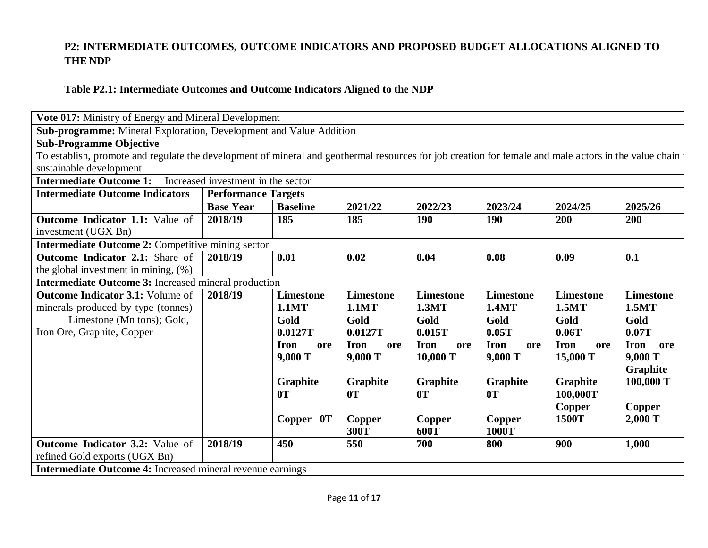#### **P2: INTERMEDIATE OUTCOMES, OUTCOME INDICATORS AND PROPOSED BUDGET ALLOCATIONS ALIGNED TO THE NDP**

#### **Table P2.1: Intermediate Outcomes and Outcome Indicators Aligned to the NDP**

| Vote 017: Ministry of Energy and Mineral Development                                                                                                  |                                    |                    |                    |                    |                    |                    |                    |
|-------------------------------------------------------------------------------------------------------------------------------------------------------|------------------------------------|--------------------|--------------------|--------------------|--------------------|--------------------|--------------------|
| Sub-programme: Mineral Exploration, Development and Value Addition                                                                                    |                                    |                    |                    |                    |                    |                    |                    |
| <b>Sub-Programme Objective</b>                                                                                                                        |                                    |                    |                    |                    |                    |                    |                    |
| To establish, promote and regulate the development of mineral and geothermal resources for job creation for female and male actors in the value chain |                                    |                    |                    |                    |                    |                    |                    |
| sustainable development                                                                                                                               |                                    |                    |                    |                    |                    |                    |                    |
| <b>Intermediate Outcome 1:</b>                                                                                                                        | Increased investment in the sector |                    |                    |                    |                    |                    |                    |
| <b>Intermediate Outcome Indicators</b>                                                                                                                | <b>Performance Targets</b>         |                    |                    |                    |                    |                    |                    |
|                                                                                                                                                       | <b>Base Year</b>                   | <b>Baseline</b>    | 2021/22            | 2022/23            | 2023/24            | 2024/25            | 2025/26            |
| <b>Outcome Indicator 1.1:</b> Value of                                                                                                                | 2018/19                            | 185                | 185                | 190                | 190                | 200                | 200                |
| investment (UGX Bn)                                                                                                                                   |                                    |                    |                    |                    |                    |                    |                    |
| Intermediate Outcome 2: Competitive mining sector                                                                                                     |                                    |                    |                    |                    |                    |                    |                    |
| <b>Outcome Indicator 2.1:</b> Share of                                                                                                                | 2018/19                            | 0.01               | 0.02               | 0.04               | 0.08               | 0.09               | 0.1                |
| the global investment in mining, $(\%)$                                                                                                               |                                    |                    |                    |                    |                    |                    |                    |
| <b>Intermediate Outcome 3:</b> Increased mineral production                                                                                           |                                    |                    |                    |                    |                    |                    |                    |
| <b>Outcome Indicator 3.1: Volume of</b>                                                                                                               | 2018/19                            | <b>Limestone</b>   | <b>Limestone</b>   | <b>Limestone</b>   | <b>Limestone</b>   | <b>Limestone</b>   | <b>Limestone</b>   |
| minerals produced by type (tonnes)                                                                                                                    |                                    | <b>1.1MT</b>       | <b>1.1MT</b>       | 1.3MT              | 1.4MT              | 1.5MT              | 1.5MT              |
| Limestone (Mn tons); Gold,                                                                                                                            |                                    | Gold               | Gold               | Gold               | Gold               | Gold               | Gold               |
| Iron Ore, Graphite, Copper                                                                                                                            |                                    | 0.0127T            | 0.0127T            | 0.015T             | 0.05T              | 0.06T              | 0.07T              |
|                                                                                                                                                       |                                    | <b>Iron</b><br>ore | <b>Iron</b><br>ore | <b>Iron</b><br>ore | <b>Iron</b><br>ore | <b>Iron</b><br>ore | <b>Iron</b><br>ore |
|                                                                                                                                                       |                                    | 9,000 T            | 9,000 T            | 10,000 T           | 9,000 T            | 15,000 T           | 9,000 T            |
|                                                                                                                                                       |                                    |                    |                    |                    |                    |                    | Graphite           |
|                                                                                                                                                       |                                    | Graphite           | Graphite           | Graphite           | Graphite           | Graphite           | 100,000 T          |
|                                                                                                                                                       |                                    | 0T                 | 0T                 | 0T                 | 0T                 | 100,000T           |                    |
|                                                                                                                                                       |                                    |                    |                    |                    |                    | Copper             | Copper             |
|                                                                                                                                                       |                                    | Copper 0T          | <b>Copper</b>      | Copper             | Copper             | 1500T              | 2,000 T            |
| 300T<br>600T<br>1000T                                                                                                                                 |                                    |                    |                    |                    |                    |                    |                    |
| <b>Outcome Indicator 3.2:</b> Value of                                                                                                                | 2018/19                            | 450                | 550                | 700                | 800                | 900                | 1,000              |
| refined Gold exports (UGX Bn)                                                                                                                         |                                    |                    |                    |                    |                    |                    |                    |
| <b>Intermediate Outcome 4:</b> Increased mineral revenue earnings                                                                                     |                                    |                    |                    |                    |                    |                    |                    |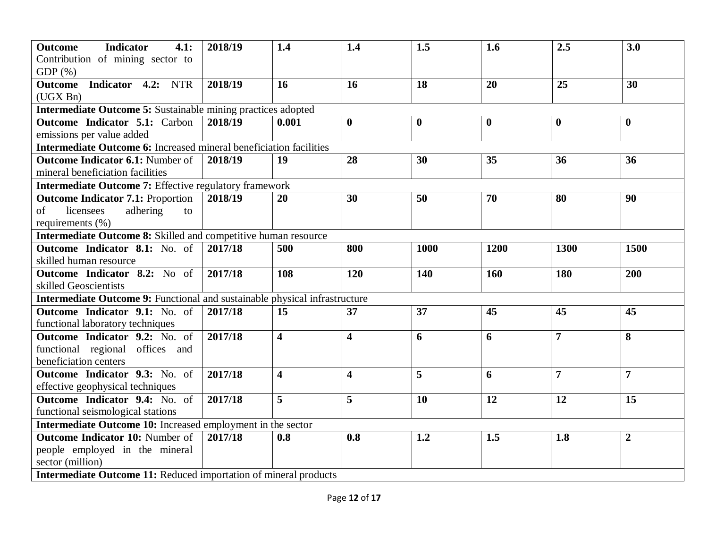| <b>Outcome</b><br>4.1:<br><b>Indicator</b><br>Contribution of mining sector to | 2018/19 | 1.4                     | 1.4                     | 1.5      | 1.6      | 2.5            | 3.0            |
|--------------------------------------------------------------------------------|---------|-------------------------|-------------------------|----------|----------|----------------|----------------|
| $GDP(\%)$                                                                      |         |                         |                         |          |          |                |                |
| Indicator 4.2: NTR<br>Outcome<br>(UGX Bn)                                      | 2018/19 | 16                      | 16                      | 18       | 20       | 25             | 30             |
| <b>Intermediate Outcome 5:</b> Sustainable mining practices adopted            |         |                         |                         |          |          |                |                |
| <b>Outcome Indicator 5.1: Carbon</b>                                           | 2018/19 | 0.001                   | $\bf{0}$                | $\bf{0}$ | $\bf{0}$ | $\bf{0}$       | $\bf{0}$       |
| emissions per value added                                                      |         |                         |                         |          |          |                |                |
| <b>Intermediate Outcome 6:</b> Increased mineral beneficiation facilities      |         |                         |                         |          |          |                |                |
| <b>Outcome Indicator 6.1: Number of</b>                                        | 2018/19 | 19                      | 28                      | 30       | 35       | 36             | 36             |
| mineral beneficiation facilities                                               |         |                         |                         |          |          |                |                |
| <b>Intermediate Outcome 7: Effective regulatory framework</b>                  |         |                         |                         |          |          |                |                |
| <b>Outcome Indicator 7.1: Proportion</b>                                       | 2018/19 | 20                      | 30                      | 50       | 70       | 80             | 90             |
| licensees<br>of<br>adhering<br>to                                              |         |                         |                         |          |          |                |                |
| requirements (%)                                                               |         |                         |                         |          |          |                |                |
| <b>Intermediate Outcome 8:</b> Skilled and competitive human resource          |         |                         |                         |          |          |                |                |
| <b>Outcome Indicator 8.1:</b> No. of                                           | 2017/18 | 500                     | 800                     | 1000     | 1200     | 1300           | 1500           |
| skilled human resource                                                         |         |                         |                         |          |          |                |                |
| <b>Outcome Indicator 8.2:</b> No of                                            | 2017/18 | 108                     | 120                     | 140      | 160      | 180            | 200            |
| skilled Geoscientists                                                          |         |                         |                         |          |          |                |                |
| Intermediate Outcome 9: Functional and sustainable physical infrastructure     |         |                         |                         |          |          |                |                |
| <b>Outcome Indicator 9.1:</b> No. of                                           | 2017/18 | 15                      | 37                      | 37       | 45       | 45             | 45             |
| functional laboratory techniques                                               |         |                         |                         |          |          |                |                |
| <b>Outcome Indicator 9.2:</b> No. of                                           | 2017/18 | $\overline{\mathbf{4}}$ | $\overline{\mathbf{4}}$ | 6        | 6        | $\overline{7}$ | 8              |
| functional regional offices and                                                |         |                         |                         |          |          |                |                |
| beneficiation centers                                                          |         |                         |                         |          |          |                |                |
| <b>Outcome Indicator 9.3:</b> No. of                                           | 2017/18 | $\overline{\mathbf{4}}$ | $\overline{\mathbf{4}}$ | 5        | 6        | $\overline{7}$ | $\overline{7}$ |
| effective geophysical techniques                                               |         |                         |                         |          |          |                |                |
| <b>Outcome Indicator 9.4:</b> No. of                                           | 2017/18 | 5                       | 5                       | 10       | 12       | 12             | 15             |
| functional seismological stations                                              |         |                         |                         |          |          |                |                |
| Intermediate Outcome 10: Increased employment in the sector                    |         |                         |                         |          |          |                |                |
| <b>Outcome Indicator 10: Number of</b>                                         | 2017/18 | 0.8                     | 0.8                     | 1.2      | 1.5      | 1.8            | $\overline{2}$ |
| people employed in the mineral                                                 |         |                         |                         |          |          |                |                |
| sector (million)                                                               |         |                         |                         |          |          |                |                |
| <b>Intermediate Outcome 11: Reduced importation of mineral products</b>        |         |                         |                         |          |          |                |                |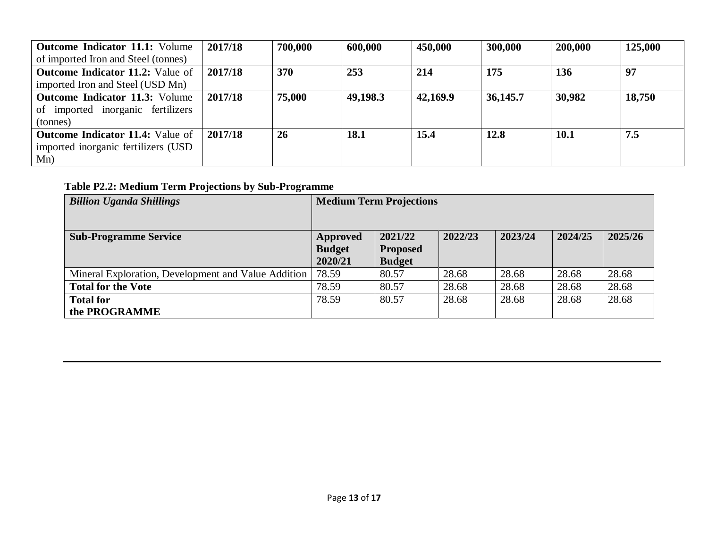| <b>Outcome Indicator 11.1:</b> Volume   | 2017/18 | 700,000 | 600,000  | 450,000  | 300,000  | 200,000 | 125,000 |
|-----------------------------------------|---------|---------|----------|----------|----------|---------|---------|
| of imported Iron and Steel (tonnes)     |         |         |          |          |          |         |         |
| <b>Outcome Indicator 11.2:</b> Value of | 2017/18 | 370     | 253      | 214      | 175      | 136     | 97      |
| imported Iron and Steel (USD Mn)        |         |         |          |          |          |         |         |
| <b>Outcome Indicator 11.3:</b> Volume   | 2017/18 | 75,000  | 49,198.3 | 42,169.9 | 36,145.7 | 30,982  | 18,750  |
| of imported inorganic fertilizers       |         |         |          |          |          |         |         |
| (tonnes)                                |         |         |          |          |          |         |         |
| <b>Outcome Indicator 11.4:</b> Value of | 2017/18 | 26      | 18.1     | 15.4     | 12.8     | 10.1    | 7.5     |
| imported inorganic fertilizers (USD     |         |         |          |          |          |         |         |
| Mn)                                     |         |         |          |          |          |         |         |

**Table P2.2: Medium Term Projections by Sub-Programme**

| <b>Billion Uganda Shillings</b>                     | <b>Medium Term Projections</b> |                 |         |         |         |         |
|-----------------------------------------------------|--------------------------------|-----------------|---------|---------|---------|---------|
|                                                     |                                |                 |         |         |         |         |
| <b>Sub-Programme Service</b>                        | Approved                       | 2021/22         | 2022/23 | 2023/24 | 2024/25 | 2025/26 |
|                                                     | <b>Budget</b>                  | <b>Proposed</b> |         |         |         |         |
|                                                     | 2020/21                        | <b>Budget</b>   |         |         |         |         |
| Mineral Exploration, Development and Value Addition | 78.59                          | 80.57           | 28.68   | 28.68   | 28.68   | 28.68   |
| <b>Total for the Vote</b>                           | 78.59                          | 80.57           | 28.68   | 28.68   | 28.68   | 28.68   |
| <b>Total for</b>                                    | 78.59                          | 80.57           | 28.68   | 28.68   | 28.68   | 28.68   |
| the PROGRAMME                                       |                                |                 |         |         |         |         |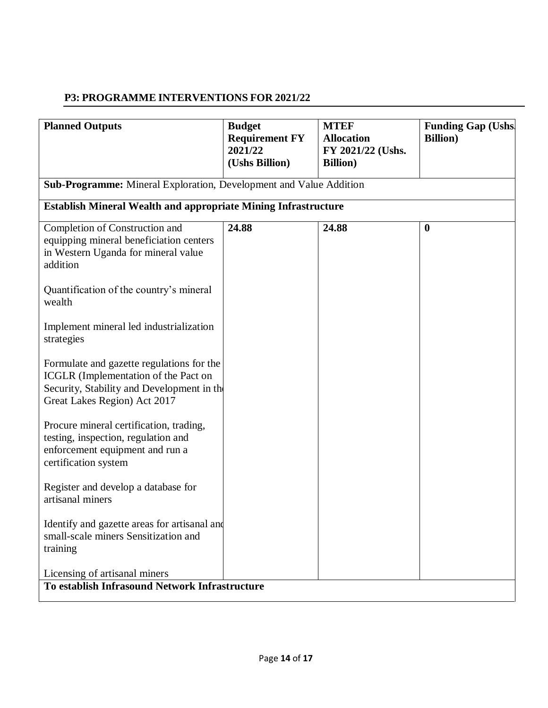#### **P3: PROGRAMME INTERVENTIONS FOR 2021/22**

| <b>Planned Outputs</b>                                                                                                                                                                                                                                                                                                                                                                                                                                                                                                                                                                                                                                                       | <b>Budget</b><br><b>Requirement FY</b><br>2021/22<br>(Ushs Billion) | <b>MTEF</b><br><b>Allocation</b><br>FY 2021/22 (Ushs.<br><b>Billion</b> ) | <b>Funding Gap (Ushs)</b><br><b>Billion</b> ) |
|------------------------------------------------------------------------------------------------------------------------------------------------------------------------------------------------------------------------------------------------------------------------------------------------------------------------------------------------------------------------------------------------------------------------------------------------------------------------------------------------------------------------------------------------------------------------------------------------------------------------------------------------------------------------------|---------------------------------------------------------------------|---------------------------------------------------------------------------|-----------------------------------------------|
| <b>Sub-Programme:</b> Mineral Exploration, Development and Value Addition                                                                                                                                                                                                                                                                                                                                                                                                                                                                                                                                                                                                    |                                                                     |                                                                           |                                               |
| <b>Establish Mineral Wealth and appropriate Mining Infrastructure</b>                                                                                                                                                                                                                                                                                                                                                                                                                                                                                                                                                                                                        |                                                                     |                                                                           |                                               |
| Completion of Construction and<br>equipping mineral beneficiation centers<br>in Western Uganda for mineral value<br>addition<br>Quantification of the country's mineral<br>wealth<br>Implement mineral led industrialization<br>strategies<br>Formulate and gazette regulations for the<br><b>ICGLR</b> (Implementation of the Pact on<br>Security, Stability and Development in the<br>Great Lakes Region) Act 2017<br>Procure mineral certification, trading,<br>testing, inspection, regulation and<br>enforcement equipment and run a<br>certification system<br>Register and develop a database for<br>artisanal miners<br>Identify and gazette areas for artisanal and | 24.88                                                               | 24.88                                                                     | $\boldsymbol{0}$                              |
| small-scale miners Sensitization and<br>training                                                                                                                                                                                                                                                                                                                                                                                                                                                                                                                                                                                                                             |                                                                     |                                                                           |                                               |
| Licensing of artisanal miners<br>To establish Infrasound Network Infrastructure                                                                                                                                                                                                                                                                                                                                                                                                                                                                                                                                                                                              |                                                                     |                                                                           |                                               |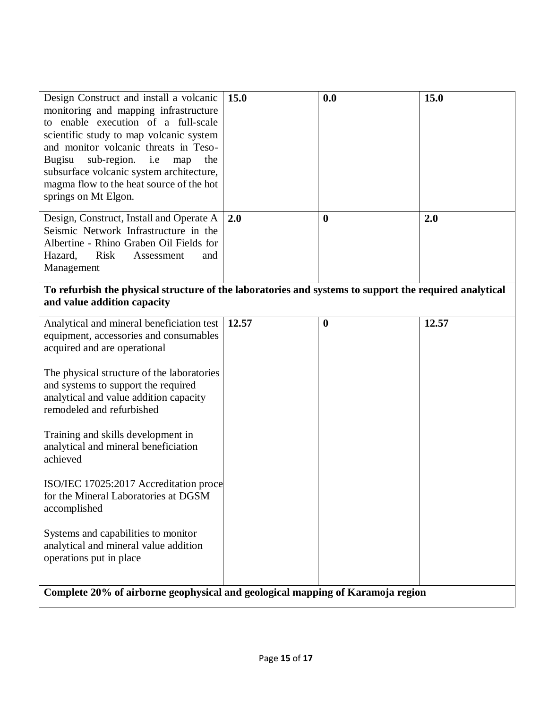| Design Construct and install a volcanic<br>monitoring and mapping infrastructure<br>to enable execution of a full-scale<br>scientific study to map volcanic system<br>and monitor volcanic threats in Teso-<br>sub-region. i.e<br>Bugisu<br>the<br>map<br>subsurface volcanic system architecture,                                                                                                                                                                                                                                                                                     | 15.0  | 0.0              | 15.0  |  |  |  |
|----------------------------------------------------------------------------------------------------------------------------------------------------------------------------------------------------------------------------------------------------------------------------------------------------------------------------------------------------------------------------------------------------------------------------------------------------------------------------------------------------------------------------------------------------------------------------------------|-------|------------------|-------|--|--|--|
| magma flow to the heat source of the hot<br>springs on Mt Elgon.                                                                                                                                                                                                                                                                                                                                                                                                                                                                                                                       |       |                  |       |  |  |  |
| Design, Construct, Install and Operate A<br>Seismic Network Infrastructure in the<br>Albertine - Rhino Graben Oil Fields for<br>Hazard,<br><b>Risk</b><br>Assessment<br>and<br>Management                                                                                                                                                                                                                                                                                                                                                                                              | 2.0   | $\bf{0}$         | 2.0   |  |  |  |
| To refurbish the physical structure of the laboratories and systems to support the required analytical<br>and value addition capacity                                                                                                                                                                                                                                                                                                                                                                                                                                                  |       |                  |       |  |  |  |
| Analytical and mineral beneficiation test<br>equipment, accessories and consumables<br>acquired and are operational<br>The physical structure of the laboratories<br>and systems to support the required<br>analytical and value addition capacity<br>remodeled and refurbished<br>Training and skills development in<br>analytical and mineral beneficiation<br>achieved<br>ISO/IEC 17025:2017 Accreditation proce<br>for the Mineral Laboratories at DGSM<br>accomplished<br>Systems and capabilities to monitor<br>analytical and mineral value addition<br>operations put in place | 12.57 | $\boldsymbol{0}$ | 12.57 |  |  |  |
| Complete 20% of airborne geophysical and geological mapping of Karamoja region                                                                                                                                                                                                                                                                                                                                                                                                                                                                                                         |       |                  |       |  |  |  |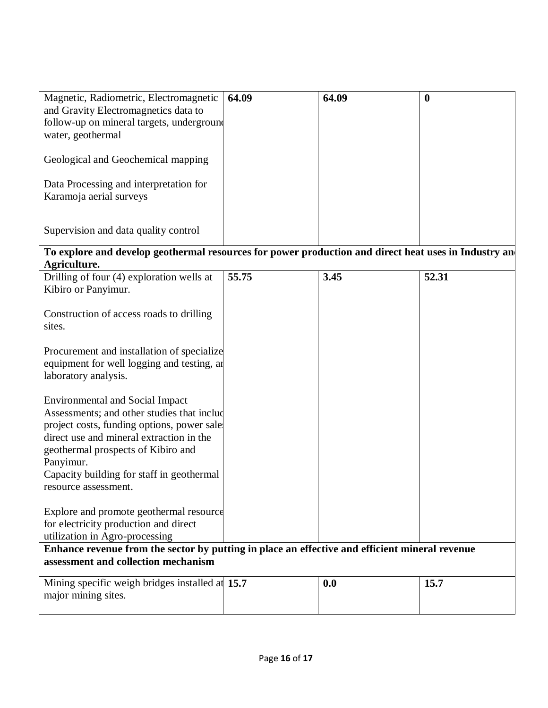| Magnetic, Radiometric, Electromagnetic                                                                                                                                                                                                                                                                  | 64.09 | 64.09 | $\boldsymbol{0}$ |  |  |
|---------------------------------------------------------------------------------------------------------------------------------------------------------------------------------------------------------------------------------------------------------------------------------------------------------|-------|-------|------------------|--|--|
| and Gravity Electromagnetics data to                                                                                                                                                                                                                                                                    |       |       |                  |  |  |
| follow-up on mineral targets, underground                                                                                                                                                                                                                                                               |       |       |                  |  |  |
| water, geothermal                                                                                                                                                                                                                                                                                       |       |       |                  |  |  |
| Geological and Geochemical mapping                                                                                                                                                                                                                                                                      |       |       |                  |  |  |
|                                                                                                                                                                                                                                                                                                         |       |       |                  |  |  |
| Data Processing and interpretation for                                                                                                                                                                                                                                                                  |       |       |                  |  |  |
| Karamoja aerial surveys                                                                                                                                                                                                                                                                                 |       |       |                  |  |  |
|                                                                                                                                                                                                                                                                                                         |       |       |                  |  |  |
| Supervision and data quality control                                                                                                                                                                                                                                                                    |       |       |                  |  |  |
| To explore and develop geothermal resources for power production and direct heat uses in Industry an                                                                                                                                                                                                    |       |       |                  |  |  |
| Agriculture.                                                                                                                                                                                                                                                                                            |       |       |                  |  |  |
| Drilling of four (4) exploration wells at<br>Kibiro or Panyimur.                                                                                                                                                                                                                                        | 55.75 | 3.45  | 52.31            |  |  |
| Construction of access roads to drilling<br>sites.                                                                                                                                                                                                                                                      |       |       |                  |  |  |
| Procurement and installation of specialize<br>equipment for well logging and testing, an<br>laboratory analysis.                                                                                                                                                                                        |       |       |                  |  |  |
| <b>Environmental and Social Impact</b><br>Assessments; and other studies that includ<br>project costs, funding options, power sales<br>direct use and mineral extraction in the<br>geothermal prospects of Kibiro and<br>Panyimur.<br>Capacity building for staff in geothermal<br>resource assessment. |       |       |                  |  |  |
| Explore and promote geothermal resource<br>for electricity production and direct<br>utilization in Agro-processing                                                                                                                                                                                      |       |       |                  |  |  |
| Enhance revenue from the sector by putting in place an effective and efficient mineral revenue                                                                                                                                                                                                          |       |       |                  |  |  |
| assessment and collection mechanism                                                                                                                                                                                                                                                                     |       |       |                  |  |  |
| Mining specific weigh bridges installed at 15.7<br>major mining sites.                                                                                                                                                                                                                                  |       | 0.0   | 15.7             |  |  |